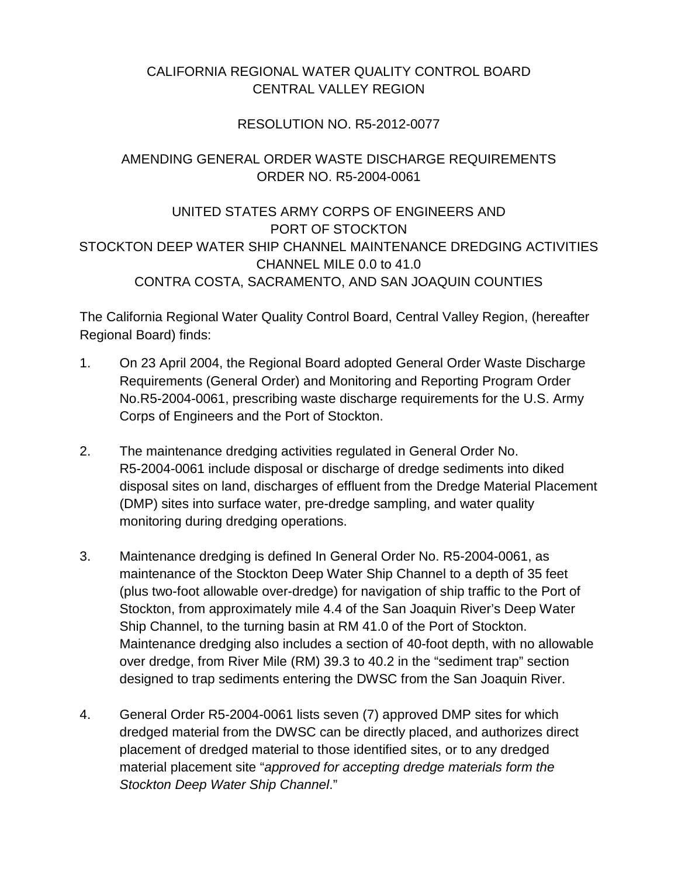## CALIFORNIA REGIONAL WATER QUALITY CONTROL BOARD CENTRAL VALLEY REGION

### RESOLUTION NO. R5-2012-0077

# AMENDING GENERAL ORDER WASTE DISCHARGE REQUIREMENTS ORDER NO. R5-2004-0061

UNITED STATES ARMY CORPS OF ENGINEERS AND PORT OF STOCKTON STOCKTON DEEP WATER SHIP CHANNEL MAINTENANCE DREDGING ACTIVITIES CHANNEL MILE 0.0 to 41.0 CONTRA COSTA, SACRAMENTO, AND SAN JOAQUIN COUNTIES

The California Regional Water Quality Control Board, Central Valley Region, (hereafter Regional Board) finds:

- 1. On 23 April 2004, the Regional Board adopted General Order Waste Discharge Requirements (General Order) and Monitoring and Reporting Program Order No.R5-2004-0061, prescribing waste discharge requirements for the U.S. Army Corps of Engineers and the Port of Stockton.
- 2. The maintenance dredging activities regulated in General Order No. R5-2004-0061 include disposal or discharge of dredge sediments into diked disposal sites on land, discharges of effluent from the Dredge Material Placement (DMP) sites into surface water, pre-dredge sampling, and water quality monitoring during dredging operations.
- 3. Maintenance dredging is defined In General Order No. R5-2004-0061, as maintenance of the Stockton Deep Water Ship Channel to a depth of 35 feet (plus two-foot allowable over-dredge) for navigation of ship traffic to the Port of Stockton, from approximately mile 4.4 of the San Joaquin River's Deep Water Ship Channel, to the turning basin at RM 41.0 of the Port of Stockton. Maintenance dredging also includes a section of 40-foot depth, with no allowable over dredge, from River Mile (RM) 39.3 to 40.2 in the "sediment trap" section designed to trap sediments entering the DWSC from the San Joaquin River.
- 4. General Order R5-2004-0061 lists seven (7) approved DMP sites for which dredged material from the DWSC can be directly placed, and authorizes direct placement of dredged material to those identified sites, or to any dredged material placement site "*approved for accepting dredge materials form the Stockton Deep Water Ship Channel*."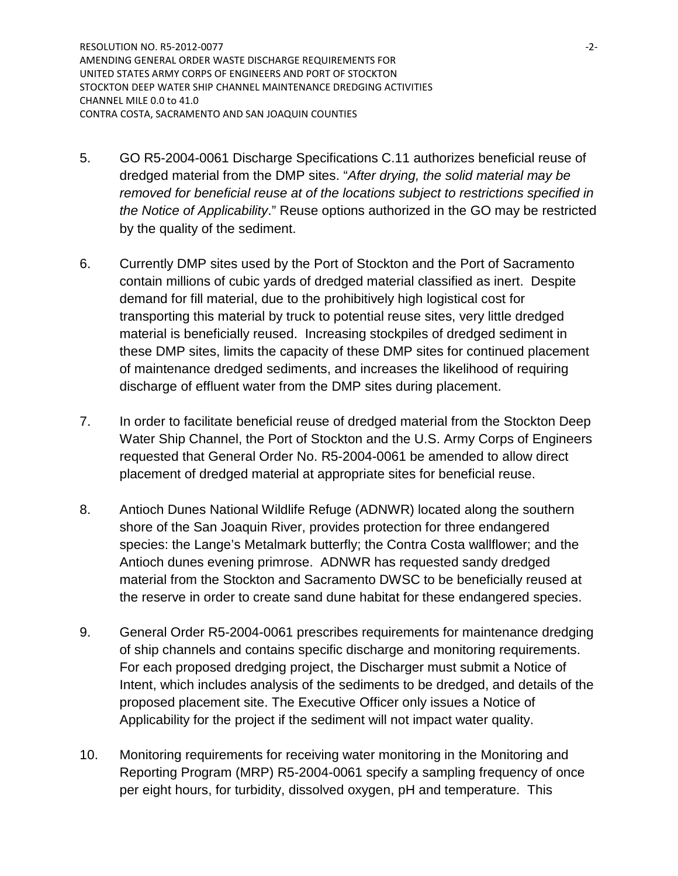RESOLUTION NO. R5-2012-0077 **-2-**AMENDING GENERAL ORDER WASTE DISCHARGE REQUIREMENTS FOR UNITED STATES ARMY CORPS OF ENGINEERS AND PORT OF STOCKTON STOCKTON DEEP WATER SHIP CHANNEL MAINTENANCE DREDGING ACTIVITIES CHANNEL MILE 0.0 to 41.0 CONTRA COSTA, SACRAMENTO AND SAN JOAQUIN COUNTIES

- 5. GO R5-2004-0061 Discharge Specifications C.11 authorizes beneficial reuse of dredged material from the DMP sites. "*After drying, the solid material may be removed for beneficial reuse at of the locations subject to restrictions specified in the Notice of Applicability*." Reuse options authorized in the GO may be restricted by the quality of the sediment.
- 6. Currently DMP sites used by the Port of Stockton and the Port of Sacramento contain millions of cubic yards of dredged material classified as inert. Despite demand for fill material, due to the prohibitively high logistical cost for transporting this material by truck to potential reuse sites, very little dredged material is beneficially reused. Increasing stockpiles of dredged sediment in these DMP sites, limits the capacity of these DMP sites for continued placement of maintenance dredged sediments, and increases the likelihood of requiring discharge of effluent water from the DMP sites during placement.
- 7. In order to facilitate beneficial reuse of dredged material from the Stockton Deep Water Ship Channel, the Port of Stockton and the U.S. Army Corps of Engineers requested that General Order No. R5-2004-0061 be amended to allow direct placement of dredged material at appropriate sites for beneficial reuse.
- 8. Antioch Dunes National Wildlife Refuge (ADNWR) located along the southern shore of the San Joaquin River, provides protection for three endangered species: the Lange's Metalmark butterfly; the Contra Costa wallflower; and the Antioch dunes evening primrose. ADNWR has requested sandy dredged material from the Stockton and Sacramento DWSC to be beneficially reused at the reserve in order to create sand dune habitat for these endangered species.
- 9. General Order R5-2004-0061 prescribes requirements for maintenance dredging of ship channels and contains specific discharge and monitoring requirements. For each proposed dredging project, the Discharger must submit a Notice of Intent, which includes analysis of the sediments to be dredged, and details of the proposed placement site. The Executive Officer only issues a Notice of Applicability for the project if the sediment will not impact water quality.
- 10. Monitoring requirements for receiving water monitoring in the Monitoring and Reporting Program (MRP) R5-2004-0061 specify a sampling frequency of once per eight hours, for turbidity, dissolved oxygen, pH and temperature. This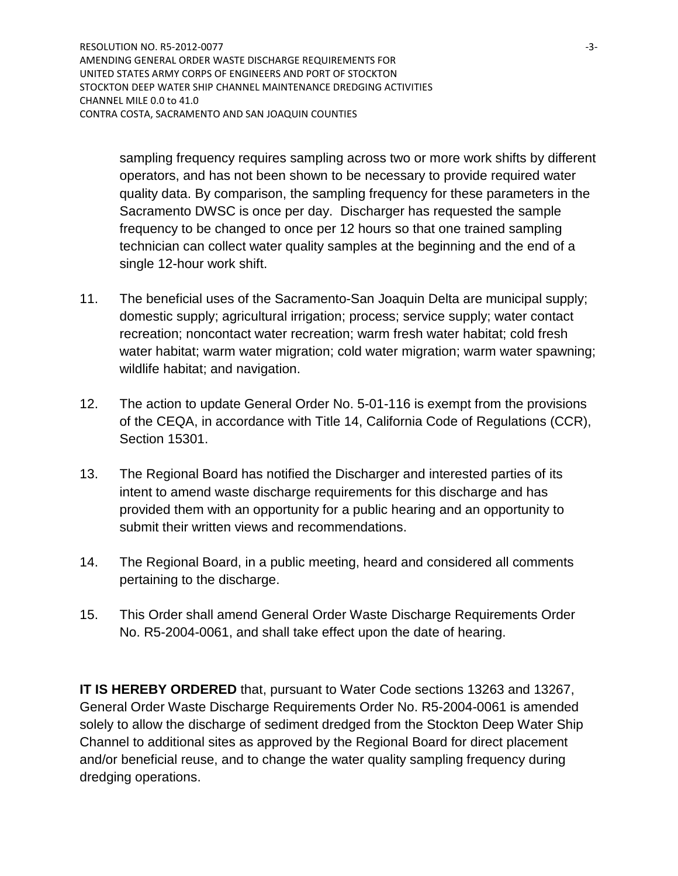RESOLUTION NO. R5-2012-0077 **-3-**AMENDING GENERAL ORDER WASTE DISCHARGE REQUIREMENTS FOR UNITED STATES ARMY CORPS OF ENGINEERS AND PORT OF STOCKTON STOCKTON DEEP WATER SHIP CHANNEL MAINTENANCE DREDGING ACTIVITIES CHANNEL MILE 0.0 to 41.0 CONTRA COSTA, SACRAMENTO AND SAN JOAQUIN COUNTIES

sampling frequency requires sampling across two or more work shifts by different operators, and has not been shown to be necessary to provide required water quality data. By comparison, the sampling frequency for these parameters in the Sacramento DWSC is once per day. Discharger has requested the sample frequency to be changed to once per 12 hours so that one trained sampling technician can collect water quality samples at the beginning and the end of a single 12-hour work shift.

- 11. The beneficial uses of the Sacramento-San Joaquin Delta are municipal supply; domestic supply; agricultural irrigation; process; service supply; water contact recreation; noncontact water recreation; warm fresh water habitat; cold fresh water habitat; warm water migration; cold water migration; warm water spawning; wildlife habitat; and navigation.
- 12. The action to update General Order No. 5-01-116 is exempt from the provisions of the CEQA, in accordance with Title 14, California Code of Regulations (CCR), Section 15301.
- 13. The Regional Board has notified the Discharger and interested parties of its intent to amend waste discharge requirements for this discharge and has provided them with an opportunity for a public hearing and an opportunity to submit their written views and recommendations.
- 14. The Regional Board, in a public meeting, heard and considered all comments pertaining to the discharge.
- 15. This Order shall amend General Order Waste Discharge Requirements Order No. R5-2004-0061, and shall take effect upon the date of hearing.

**IT IS HEREBY ORDERED** that, pursuant to Water Code sections 13263 and 13267, General Order Waste Discharge Requirements Order No. R5-2004-0061 is amended solely to allow the discharge of sediment dredged from the Stockton Deep Water Ship Channel to additional sites as approved by the Regional Board for direct placement and/or beneficial reuse, and to change the water quality sampling frequency during dredging operations.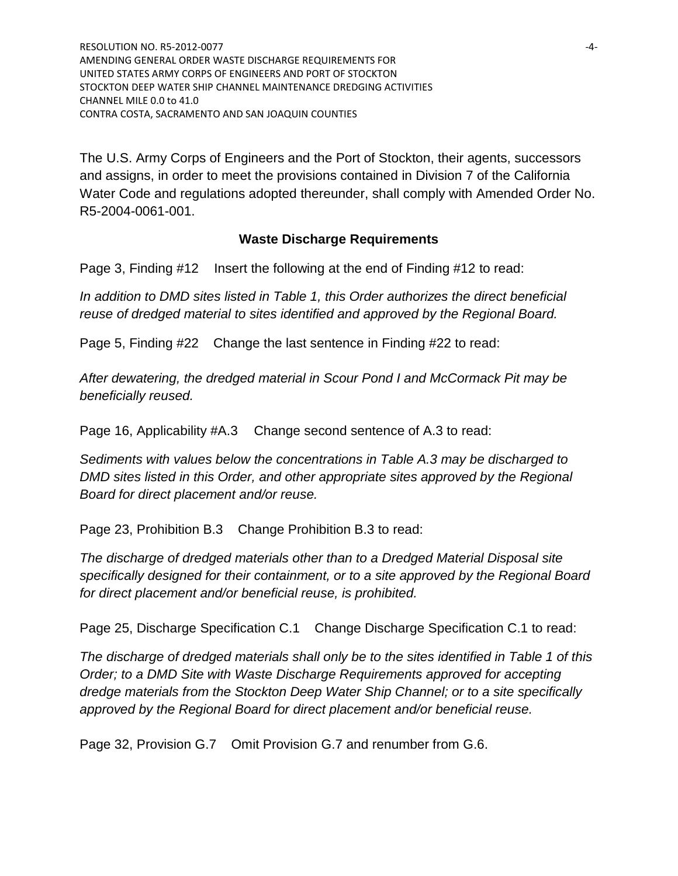RESOLUTION NO. R5-2012-0077 **-4-**AMENDING GENERAL ORDER WASTE DISCHARGE REQUIREMENTS FOR UNITED STATES ARMY CORPS OF ENGINEERS AND PORT OF STOCKTON STOCKTON DEEP WATER SHIP CHANNEL MAINTENANCE DREDGING ACTIVITIES CHANNEL MILE 0.0 to 41.0 CONTRA COSTA, SACRAMENTO AND SAN JOAQUIN COUNTIES

The U.S. Army Corps of Engineers and the Port of Stockton, their agents, successors and assigns, in order to meet the provisions contained in Division 7 of the California Water Code and regulations adopted thereunder, shall comply with Amended Order No. R5-2004-0061-001.

#### **Waste Discharge Requirements**

Page 3, Finding #12 Insert the following at the end of Finding #12 to read:

*In addition to DMD sites listed in Table 1, this Order authorizes the direct beneficial reuse of dredged material to sites identified and approved by the Regional Board.*

Page 5, Finding #22 Change the last sentence in Finding #22 to read:

*After dewatering, the dredged material in Scour Pond I and McCormack Pit may be beneficially reused.*

Page 16, Applicability #A.3 Change second sentence of A.3 to read:

*Sediments with values below the concentrations in Table A.3 may be discharged to DMD sites listed in this Order, and other appropriate sites approved by the Regional Board for direct placement and/or reuse.* 

Page 23, Prohibition B.3 Change Prohibition B.3 to read:

*The discharge of dredged materials other than to a Dredged Material Disposal site specifically designed for their containment, or to a site approved by the Regional Board for direct placement and/or beneficial reuse, is prohibited.*

Page 25, Discharge Specification C.1 Change Discharge Specification C.1 to read:

*The discharge of dredged materials shall only be to the sites identified in Table 1 of this Order; to a DMD Site with Waste Discharge Requirements approved for accepting dredge materials from the Stockton Deep Water Ship Channel; or to a site specifically approved by the Regional Board for direct placement and/or beneficial reuse.*

Page 32, Provision G.7 Omit Provision G.7 and renumber from G.6.